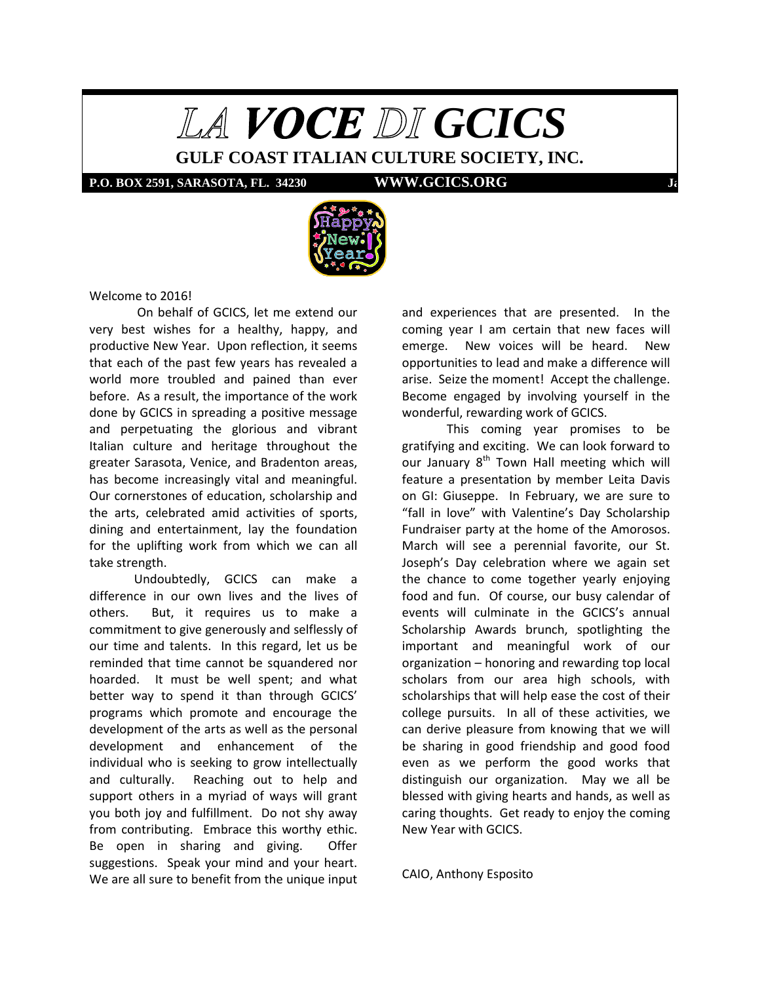

**GULF COAST ITALIAN CULTURE SOCIETY, INC.**

**P.O. BOX 2591, SARASOTA, FL. 34230 WWW.GCICS.ORG** 



Welcome to 2016!

On behalf of GCICS, let me extend our very best wishes for a healthy, happy, and productive New Year. Upon reflection, it seems that each of the past few years has revealed a world more troubled and pained than ever before. As a result, the importance of the work done by GCICS in spreading a positive message and perpetuating the glorious and vibrant Italian culture and heritage throughout the greater Sarasota, Venice, and Bradenton areas, has become increasingly vital and meaningful. Our cornerstones of education, scholarship and the arts, celebrated amid activities of sports, dining and entertainment, lay the foundation for the uplifting work from which we can all take strength.

Undoubtedly, GCICS can make a difference in our own lives and the lives of others. But, it requires us to make a commitment to give generously and selflessly of our time and talents. In this regard, let us be reminded that time cannot be squandered nor hoarded. It must be well spent; and what better way to spend it than through GCICS' programs which promote and encourage the development of the arts as well as the personal development and enhancement of the individual who is seeking to grow intellectually and culturally. Reaching out to help and support others in a myriad of ways will grant you both joy and fulfillment. Do not shy away from contributing. Embrace this worthy ethic. Be open in sharing and giving. Offer suggestions. Speak your mind and your heart. We are all sure to benefit from the unique input

and experiences that are presented. In the coming year I am certain that new faces will emerge. New voices will be heard. New opportunities to lead and make a difference will arise. Seize the moment! Accept the challenge. Become engaged by involving yourself in the wonderful, rewarding work of GCICS.

This coming year promises to be gratifying and exciting. We can look forward to our January  $8<sup>th</sup>$  Town Hall meeting which will feature a presentation by member Leita Davis on GI: Giuseppe. In February, we are sure to "fall in love" with Valentine's Day Scholarship Fundraiser party at the home of the Amorosos. March will see a perennial favorite, our St. Joseph's Day celebration where we again set the chance to come together yearly enjoying food and fun. Of course, our busy calendar of events will culminate in the GCICS's annual Scholarship Awards brunch, spotlighting the important and meaningful work of our organization – honoring and rewarding top local scholars from our area high schools, with scholarships that will help ease the cost of their college pursuits. In all of these activities, we can derive pleasure from knowing that we will be sharing in good friendship and good food even as we perform the good works that distinguish our organization. May we all be blessed with giving hearts and hands, as well as caring thoughts. Get ready to enjoy the coming New Year with GCICS.

CAIO, Anthony Esposito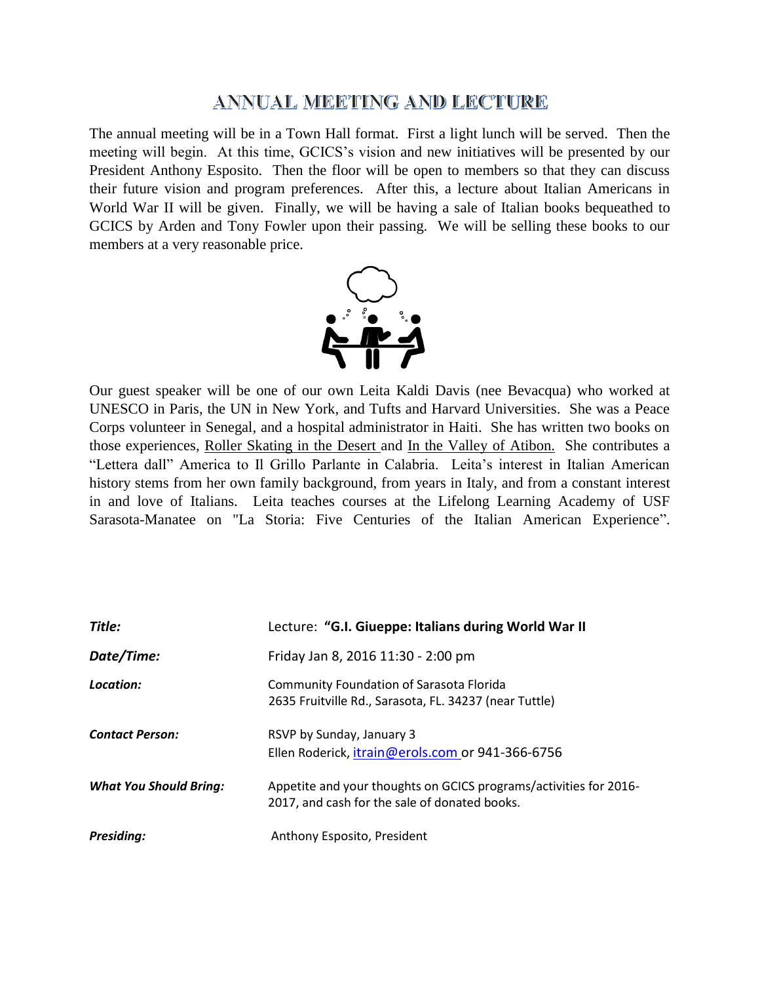# ANNUAL MEETING AND LECTURE

The annual meeting will be in a Town Hall format. First a light lunch will be served. Then the meeting will begin. At this time, GCICS's vision and new initiatives will be presented by our President Anthony Esposito. Then the floor will be open to members so that they can discuss their future vision and program preferences. After this, a lecture about Italian Americans in World War II will be given. Finally, we will be having a sale of Italian books bequeathed to GCICS by Arden and Tony Fowler upon their passing. We will be selling these books to our members at a very reasonable price.



Our guest speaker will be one of our own Leita Kaldi Davis (nee Bevacqua) who worked at UNESCO in Paris, the UN in New York, and Tufts and Harvard Universities. She was a Peace Corps volunteer in Senegal, and a hospital administrator in Haiti. She has written two books on those experiences, Roller Skating in the Desert and In the Valley of Atibon. She contributes a "Lettera dall" America to Il Grillo Parlante in Calabria. Leita's interest in Italian American history stems from her own family background, from years in Italy, and from a constant interest in and love of Italians. Leita teaches courses at the Lifelong Learning Academy of USF Sarasota-Manatee on "La Storia: Five Centuries of the Italian American Experience".

| Title:                        | Lecture: "G.I. Giueppe: Italians during World War II                                                               |
|-------------------------------|--------------------------------------------------------------------------------------------------------------------|
| Date/Time:                    | Friday Jan 8, 2016 11:30 - 2:00 pm                                                                                 |
| Location:                     | <b>Community Foundation of Sarasota Florida</b><br>2635 Fruitville Rd., Sarasota, FL. 34237 (near Tuttle)          |
| <b>Contact Person:</b>        | RSVP by Sunday, January 3<br>Ellen Roderick, itrain@erols.com or 941-366-6756                                      |
| <b>What You Should Bring:</b> | Appetite and your thoughts on GCICS programs/activities for 2016-<br>2017, and cash for the sale of donated books. |
| <b>Presiding:</b>             | Anthony Esposito, President                                                                                        |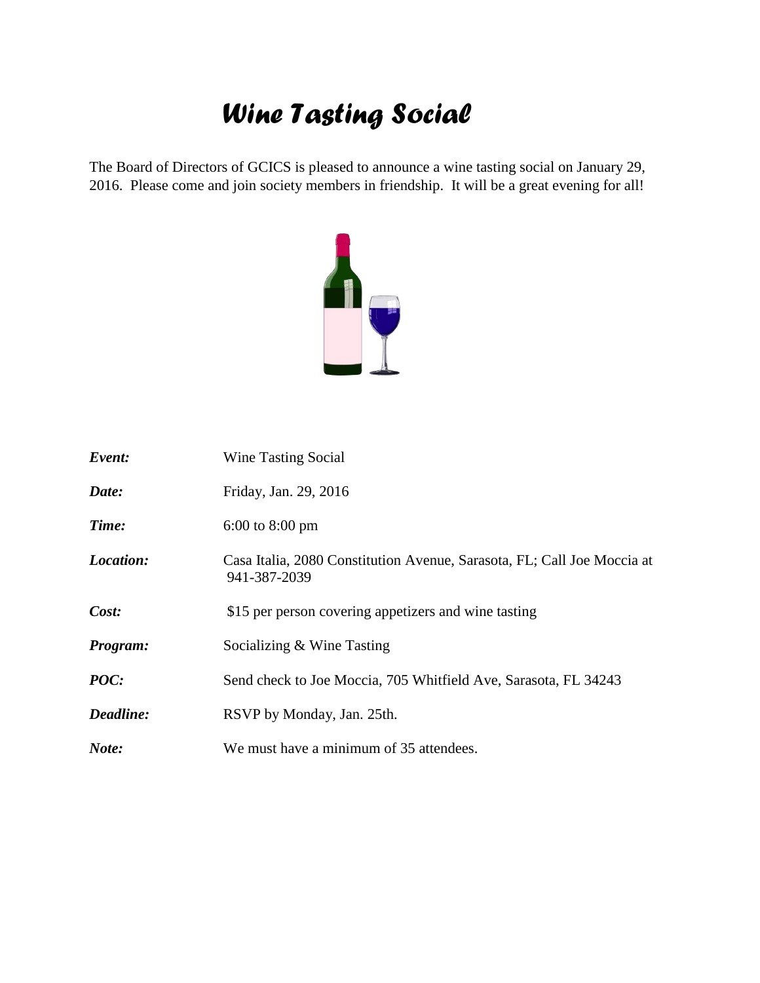# *Wine Tasting Social*

The Board of Directors of GCICS is pleased to announce a wine tasting social on January 29, 2016. Please come and join society members in friendship. It will be a great evening for all!



| Event:    | Wine Tasting Social                                                                     |
|-----------|-----------------------------------------------------------------------------------------|
| Date:     | Friday, Jan. 29, 2016                                                                   |
| Time:     | $6:00$ to $8:00$ pm                                                                     |
| Location: | Casa Italia, 2080 Constitution Avenue, Sarasota, FL; Call Joe Moccia at<br>941-387-2039 |
| Cost:     | \$15 per person covering appetizers and wine tasting                                    |
| Program:  | Socializing & Wine Tasting                                                              |
| POC:      | Send check to Joe Moccia, 705 Whitfield Ave, Sarasota, FL 34243                         |
| Deadline: | RSVP by Monday, Jan. 25th.                                                              |
| Note:     | We must have a minimum of 35 attendees.                                                 |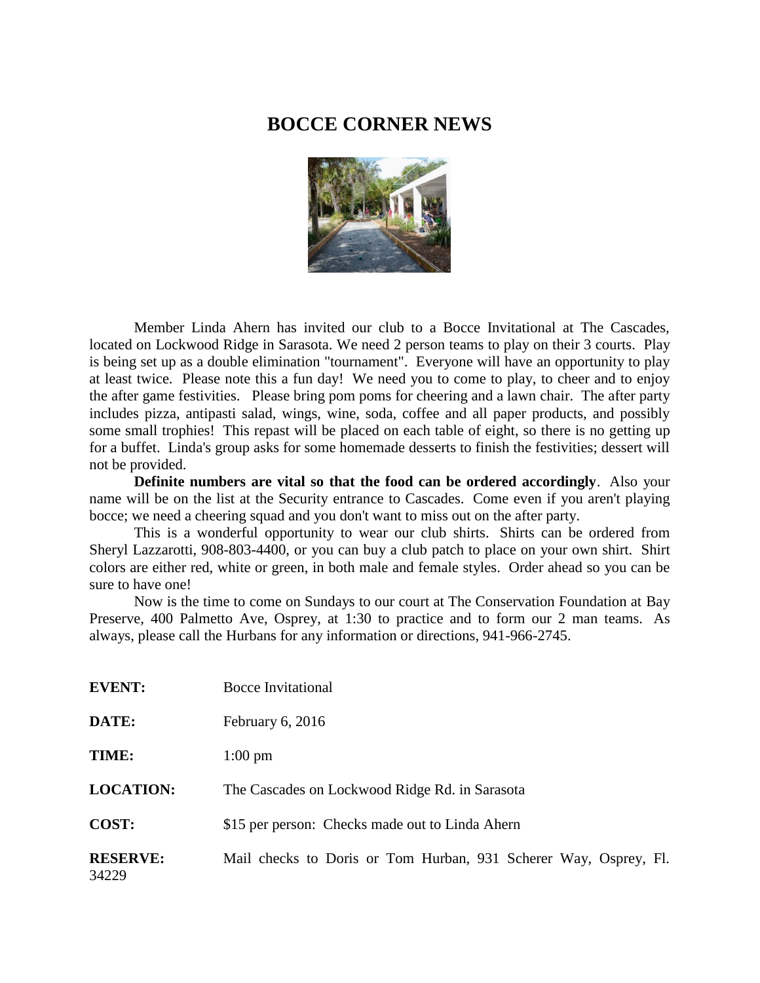## **BOCCE CORNER NEWS**



Member Linda Ahern has invited our club to a Bocce Invitational at The Cascades, located on Lockwood Ridge in Sarasota. We need 2 person teams to play on their 3 courts. Play is being set up as a double elimination "tournament". Everyone will have an opportunity to play at least twice. Please note this a fun day! We need you to come to play, to cheer and to enjoy the after game festivities. Please bring pom poms for cheering and a lawn chair. The after party includes pizza, antipasti salad, wings, wine, soda, coffee and all paper products, and possibly some small trophies! This repast will be placed on each table of eight, so there is no getting up for a buffet. Linda's group asks for some homemade desserts to finish the festivities; dessert will not be provided.

**Definite numbers are vital so that the food can be ordered accordingly**. Also your name will be on the list at the Security entrance to Cascades. Come even if you aren't playing bocce; we need a cheering squad and you don't want to miss out on the after party.

This is a wonderful opportunity to wear our club shirts. Shirts can be ordered from Sheryl Lazzarotti, 908-803-4400, or you can buy a club patch to place on your own shirt. Shirt colors are either red, white or green, in both male and female styles. Order ahead so you can be sure to have one!

Now is the time to come on Sundays to our court at The Conservation Foundation at Bay Preserve, 400 Palmetto Ave, Osprey, at 1:30 to practice and to form our 2 man teams. As always, please call the Hurbans for any information or directions, 941-966-2745.

| <b>EVENT:</b>            | Bocce Invitational                                               |  |  |
|--------------------------|------------------------------------------------------------------|--|--|
| DATE:                    | February $6, 2016$                                               |  |  |
| TIME:                    | $1:00 \text{ pm}$                                                |  |  |
| <b>LOCATION:</b>         | The Cascades on Lockwood Ridge Rd. in Sarasota                   |  |  |
| COST:                    | \$15 per person: Checks made out to Linda Ahern                  |  |  |
| <b>RESERVE:</b><br>34229 | Mail checks to Doris or Tom Hurban, 931 Scherer Way, Osprey, Fl. |  |  |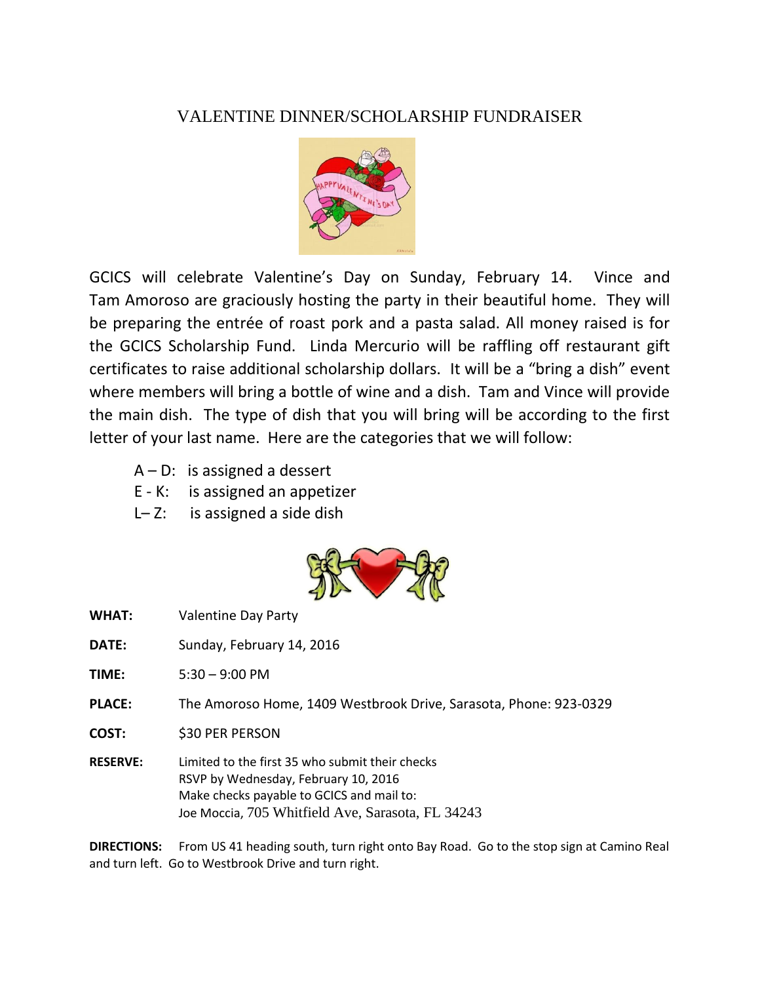# VALENTINE DINNER/SCHOLARSHIP FUNDRAISER



GCICS will celebrate Valentine's Day on Sunday, February 14. Vince and Tam Amoroso are graciously hosting the party in their beautiful home. They will be preparing the entrée of roast pork and a pasta salad. All money raised is for the GCICS Scholarship Fund. Linda Mercurio will be raffling off restaurant gift certificates to raise additional scholarship dollars. It will be a "bring a dish" event where members will bring a bottle of wine and a dish. Tam and Vince will provide the main dish. The type of dish that you will bring will be according to the first letter of your last name. Here are the categories that we will follow:

- $A D$ : is assigned a dessert
- E K: is assigned an appetizer
- $L-Z$ : is assigned a side dish



- **WHAT: Valentine Day Party**
- **DATE:** Sunday, February 14, 2016

**TIME:** 5:30 – 9:00 PM

- **PLACE:** The Amoroso Home, 1409 Westbrook Drive, Sarasota, Phone: 923-0329
- **COST:** \$30 PER PERSON
- **RESERVE:** Limited to the first 35 who submit their checks RSVP by Wednesday, February 10, 2016 Make checks payable to GCICS and mail to: Joe Moccia, 705 Whitfield Ave, Sarasota, FL 34243

**DIRECTIONS:** From US 41 heading south, turn right onto Bay Road. Go to the stop sign at Camino Real and turn left. Go to Westbrook Drive and turn right.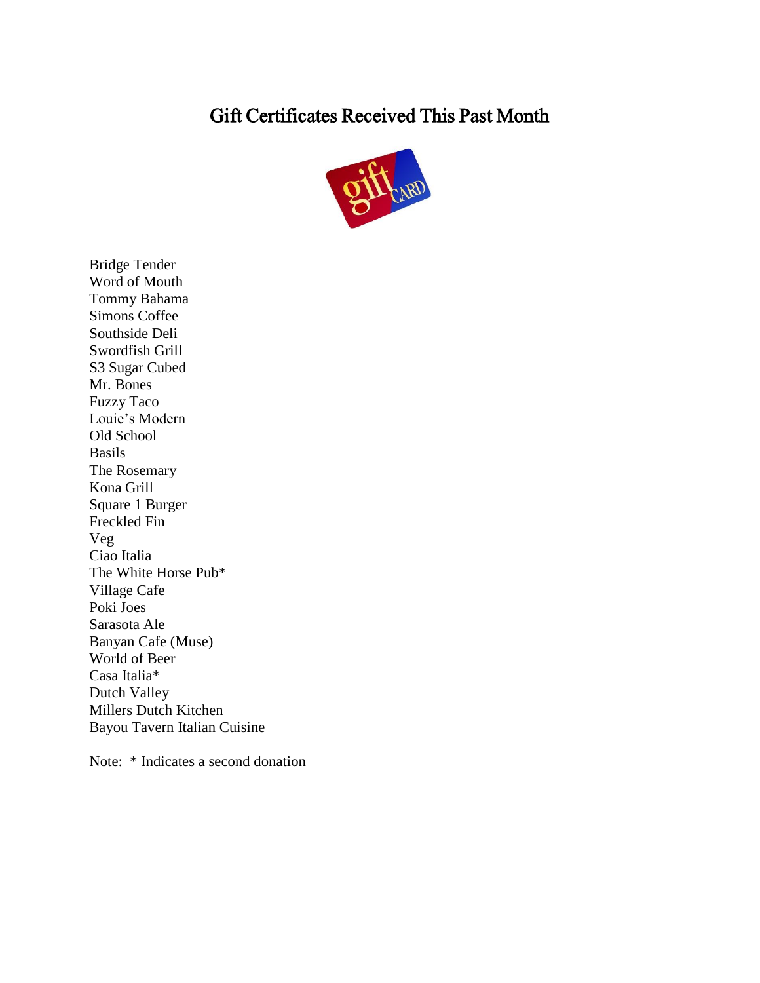# Gift Certificates Received This Past Month



Bridge Tender Word of Mouth Tommy Bahama Simons Coffee Southside Deli Swordfish Grill S3 Sugar Cubed Mr. Bones Fuzzy Taco Louie's Modern Old School Basils The Rosemary Kona Grill Square 1 Burger Freckled Fin Veg Ciao Italia The White Horse Pub\* Village Cafe Poki Joes Sarasota Ale Banyan Cafe (Muse) World of Beer Casa Italia\* Dutch Valley Millers Dutch Kitchen Bayou Tavern Italian Cuisine

Note: \* Indicates a second donation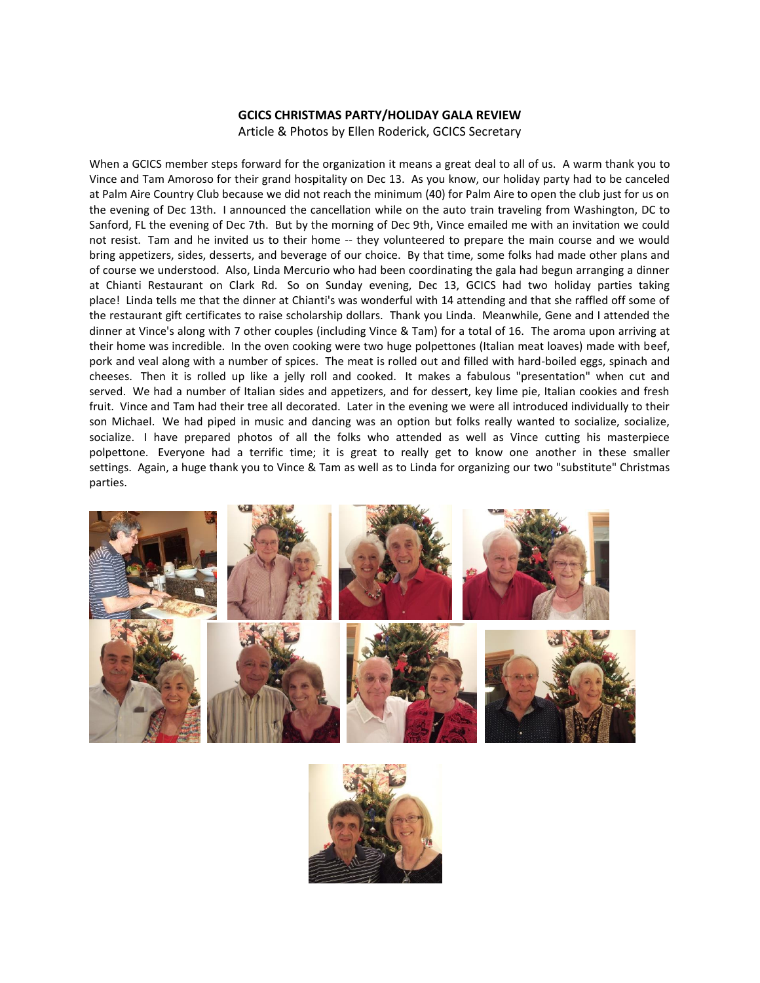## **GCICS CHRISTMAS PARTY/HOLIDAY GALA REVIEW**

Article & Photos by Ellen Roderick, GCICS Secretary

When a GCICS member steps forward for the organization it means a great deal to all of us. A warm thank you to Vince and Tam Amoroso for their grand hospitality on Dec 13. As you know, our holiday party had to be canceled at Palm Aire Country Club because we did not reach the minimum (40) for Palm Aire to open the club just for us on the evening of Dec 13th. I announced the cancellation while on the auto train traveling from Washington, DC to Sanford, FL the evening of Dec 7th. But by the morning of Dec 9th, Vince emailed me with an invitation we could not resist. Tam and he invited us to their home -- they volunteered to prepare the main course and we would bring appetizers, sides, desserts, and beverage of our choice. By that time, some folks had made other plans and of course we understood. Also, Linda Mercurio who had been coordinating the gala had begun arranging a dinner at Chianti Restaurant on Clark Rd. So on Sunday evening, Dec 13, GCICS had two holiday parties taking place! Linda tells me that the dinner at Chianti's was wonderful with 14 attending and that she raffled off some of the restaurant gift certificates to raise scholarship dollars. Thank you Linda. Meanwhile, Gene and I attended the dinner at Vince's along with 7 other couples (including Vince & Tam) for a total of 16. The aroma upon arriving at their home was incredible. In the oven cooking were two huge polpettones (Italian meat loaves) made with beef, pork and veal along with a number of spices. The meat is rolled out and filled with hard-boiled eggs, spinach and cheeses. Then it is rolled up like a jelly roll and cooked. It makes a fabulous "presentation" when cut and served. We had a number of Italian sides and appetizers, and for dessert, key lime pie, Italian cookies and fresh fruit. Vince and Tam had their tree all decorated. Later in the evening we were all introduced individually to their son Michael. We had piped in music and dancing was an option but folks really wanted to socialize, socialize, socialize. I have prepared photos of all the folks who attended as well as Vince cutting his masterpiece polpettone. Everyone had a terrific time; it is great to really get to know one another in these smaller settings. Again, a huge thank you to Vince & Tam as well as to Linda for organizing our two "substitute" Christmas parties.



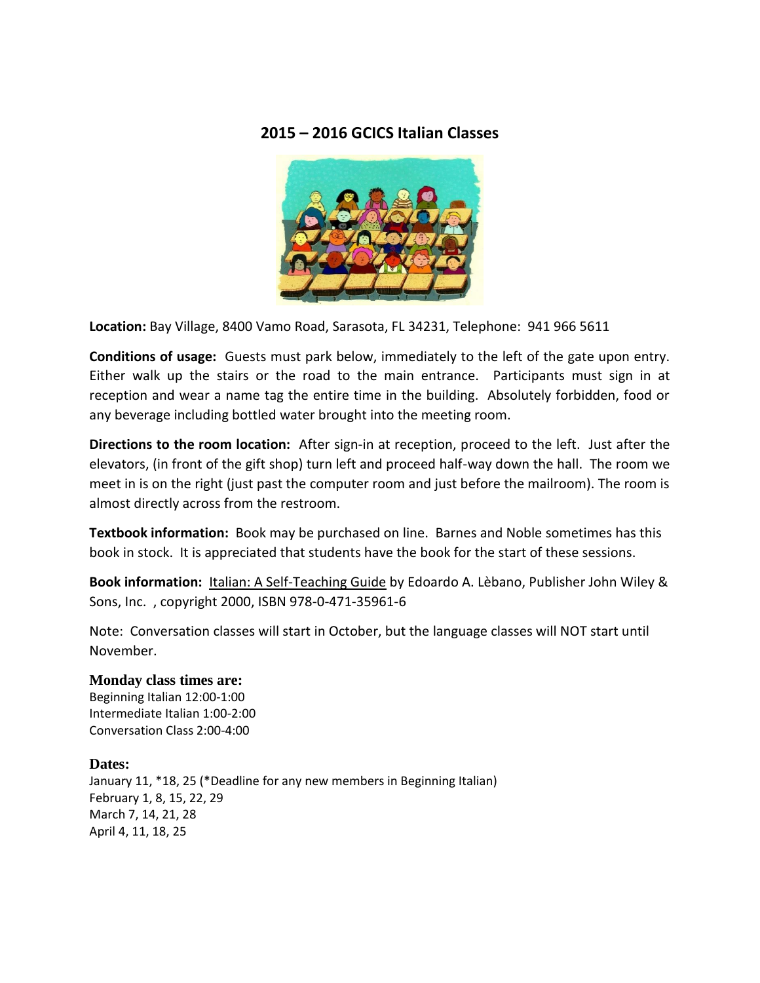## **2015 – 2016 GCICS Italian Classes**



**Location:** Bay Village, 8400 Vamo Road, Sarasota, FL 34231, Telephone: 941 966 5611

**Conditions of usage:** Guests must park below, immediately to the left of the gate upon entry. Either walk up the stairs or the road to the main entrance. Participants must sign in at reception and wear a name tag the entire time in the building. Absolutely forbidden, food or any beverage including bottled water brought into the meeting room.

**Directions to the room location:** After sign-in at reception, proceed to the left. Just after the elevators, (in front of the gift shop) turn left and proceed half-way down the hall. The room we meet in is on the right (just past the computer room and just before the mailroom). The room is almost directly across from the restroom.

**Textbook information:** Book may be purchased on line. Barnes and Noble sometimes has this book in stock. It is appreciated that students have the book for the start of these sessions.

**Book information:** Italian: A Self-Teaching Guide by Edoardo A. Lèbano, Publisher John Wiley & Sons, Inc. , copyright 2000, ISBN 978-0-471-35961-6

Note: Conversation classes will start in October, but the language classes will NOT start until November.

**Monday class times are:** Beginning Italian 12:00-1:00 Intermediate Italian 1:00-2:00 Conversation Class 2:00-4:00

## **Dates:**

January 11, \*18, 25 (\*Deadline for any new members in Beginning Italian) February 1, 8, 15, 22, 29 March 7, 14, 21, 28 April 4, 11, 18, 25